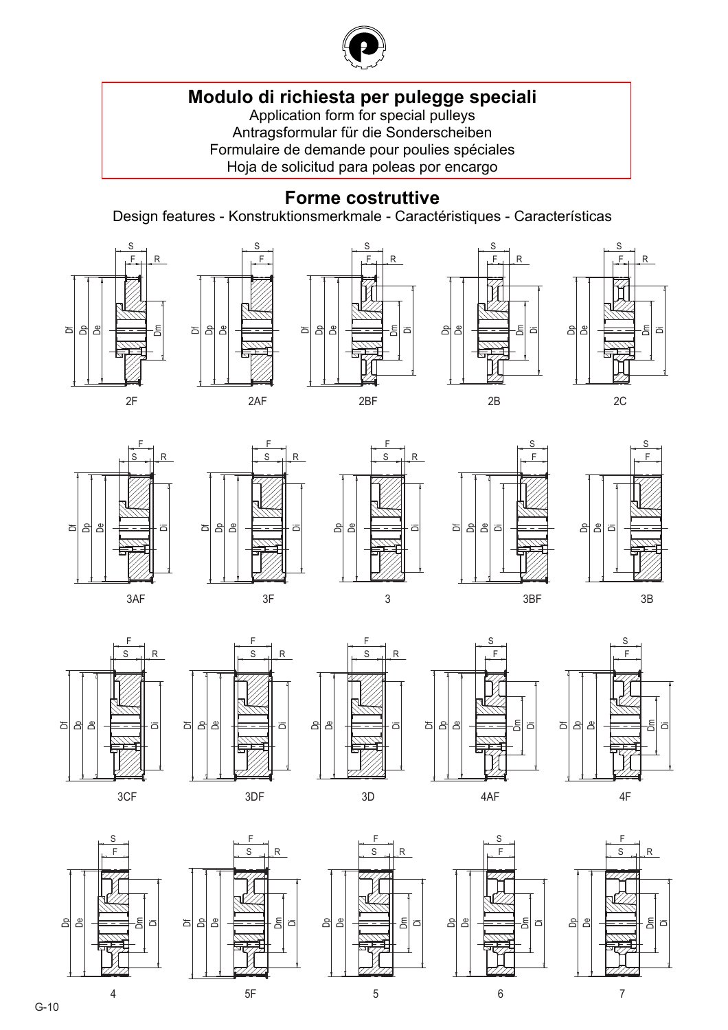

# **[Modulo di richiesta per pulegge speciali](#page--1-0)**

Application form for special pulleys Antragsformular für die Sonderscheiben Formulaire de demande pour poulies spéciales Hoja de solicitud para poleas por encargo

### **Forme costruttive**

Design features - Konstruktionsmerkmale - Caractéristiques - Características

j -

l  $\overline{\mathcal{S}}$ 

 $\mathsf{R}$ 





j l l l S

පි∣











 $\overline{a}$  $\overline{a}$ - $\overline{\phantom{a}}$  $\overline{\phantom{a}}$ 

히 ₫ 8



 $\mathsf{R}$ 

'n























G-10